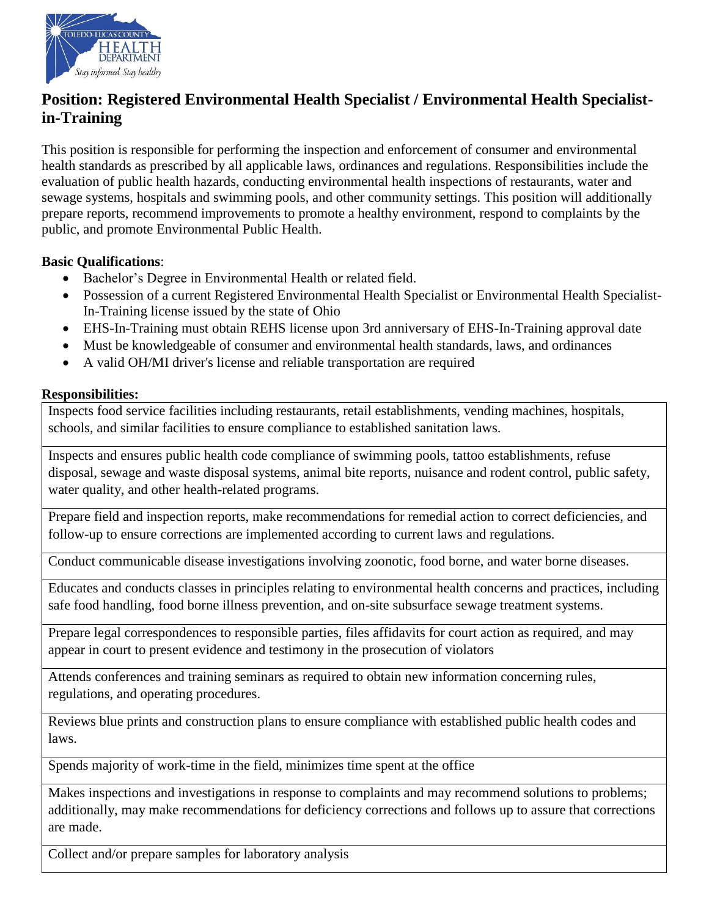

## **Position: Registered Environmental Health Specialist / Environmental Health Specialistin-Training**

This position is responsible for performing the inspection and enforcement of consumer and environmental health standards as prescribed by all applicable laws, ordinances and regulations. Responsibilities include the evaluation of public health hazards, conducting environmental health inspections of restaurants, water and sewage systems, hospitals and swimming pools, and other community settings. This position will additionally prepare reports, recommend improvements to promote a healthy environment, respond to complaints by the public, and promote Environmental Public Health.

## **Basic Qualifications**:

- Bachelor's Degree in Environmental Health or related field.
- Possession of a current Registered Environmental Health Specialist or Environmental Health Specialist-In-Training license issued by the state of Ohio
- EHS-In-Training must obtain REHS license upon 3rd anniversary of EHS-In-Training approval date
- Must be knowledgeable of consumer and environmental health standards, laws, and ordinances
- A valid OH/MI driver's license and reliable transportation are required

## **Responsibilities:**

Inspects food service facilities including restaurants, retail establishments, vending machines, hospitals, schools, and similar facilities to ensure compliance to established sanitation laws.

Inspects and ensures public health code compliance of swimming pools, tattoo establishments, refuse disposal, sewage and waste disposal systems, animal bite reports, nuisance and rodent control, public safety, water quality, and other health-related programs.

Prepare field and inspection reports, make recommendations for remedial action to correct deficiencies, and follow-up to ensure corrections are implemented according to current laws and regulations.

Conduct communicable disease investigations involving zoonotic, food borne, and water borne diseases.

Educates and conducts classes in principles relating to environmental health concerns and practices, including safe food handling, food borne illness prevention, and on-site subsurface sewage treatment systems.

Prepare legal correspondences to responsible parties, files affidavits for court action as required, and may appear in court to present evidence and testimony in the prosecution of violators

Attends conferences and training seminars as required to obtain new information concerning rules, regulations, and operating procedures.

Reviews blue prints and construction plans to ensure compliance with established public health codes and laws.

Spends majority of work-time in the field, minimizes time spent at the office

Makes inspections and investigations in response to complaints and may recommend solutions to problems; additionally, may make recommendations for deficiency corrections and follows up to assure that corrections are made.

Collect and/or prepare samples for laboratory analysis